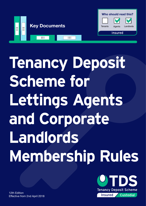

# **Tenancy Deposit Scheme for Lettings Agents and Corporate Landlords Membership Rules**



12th Edition Effective from 2nd April 2018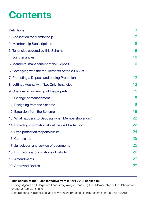### **Contents**

| <b>Definitions</b>                                 | 3              |
|----------------------------------------------------|----------------|
| 1. Application for Membership                      | $\overline{I}$ |
| 2. Membership Subscriptions                        | 8              |
| 3. Tenancies covered by this Scheme                | 9              |
| 4. Joint tenancies                                 | 10             |
| 5. Members' management of the Deposit              | 10             |
| 6. Complying with the requirements of the 2004 Act | 11             |
| 7. Protecting a Deposit and ending Protection      | 12             |
| 8. Lettings Agents with 'Let Only' tenancies       | 13             |
| 9. Changes in ownership of the property            | 15             |
| 10. Change of management                           | 15             |
| 11. Resigning from the Scheme                      | 16             |
| 12. Expulsion from the Scheme                      | 18             |
| 13. What happens to Deposits when Membership ends? | 22             |
| 14. Providing information about Deposit Protection | 22             |
| 15. Data protection responsibilities               | 24             |
| 16. Complaints                                     | 25             |
| 17. Jurisdiction and service of documents          | 25             |
| 18. Exclusions and limitations of liability        | 26             |
| 19. Amendments                                     | 27             |
| 20. Approved Bodies                                | 27             |

#### **This edition of the Rules (effective from 2 April 2018) applies to:**

Lettings Agents and Corporate Landlords joining or renewing their Membership of the Scheme on or after 2 April 2018; and

Deposits for all residential tenancies which are protected in this Scheme on the 2 April 2018.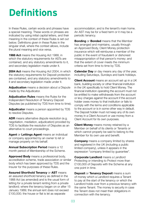## <span id="page-2-0"></span>**Definitions**

In these Rules, certain words and phrases have a special meaning. These words or phrases are indicated by using initial capital letters, and their meaning in the context of these Rules is set out below. Definitions given in these Rules in the singular shall, where the context allows, include the plural meaning and vice versa.

**1988 Act** means the Housing Act 1988, in which the statutory requirements for ASTs are contained, and any statutory amendments to it, and secondary legislation made under it.

**2004 Act** means the Housing Act 2004, in which the statutory requirements for Deposit protection are contained, and any statutory amendments to it and secondary legislation made under it.

**Adjudication** means a decision about a Dispute made by the Adjudicator.

**Adjudication Rules** means the Rules for the Independent Resolution of Tenancy Deposit Disputes (as published by TDS from time to time).

**Adjudicator** means a person appointed by TDS to resolve Disputes.

**ADR** means alternative dispute resolution (e.g. negotiation, mediation, adjudication) provided by TDS to facilitate the resolution of Disputes as an alternative to court proceedings.

**Agent** or **Lettings Agent** means an individual or company appointed by an owner to let or manage property on his behalf.

**Annual Subscription Period** means a 12 month period of Membership of the Scheme.

**Approved Body** means a professional body, accreditation scheme, trade association or similar body which has been approved by TDS and the Insurer for the purposes of these Rules.

**Assured Shorthold Tenancy** or **AST** means an assured shorthold tenancy as defined in the 1988 Act (as amended) and is the usual form of letting for a private tenant renting from a private landlord; where the tenancy began on or after 15 January 1989; the annual rent does not exceed £100,000; the house or flat is let as separate

accommodation; and is the tenant's main home. An AST may be for a fixed term or it may be a periodic tenancy.

**Bonding** or **Bonded** means that the Member has arranged and maintains, usually through an Approved Body, Client Money protection insurance which will reimburse a member of the public in the event of fraudulent or dishonest misappropriation of that person's money; and that the extent of cover meets the minimum criteria set from time to time by TDS.

**Calendar Day** or day means any day of the year, including Saturdays, Sundays and bank holidays.

**Client Account** means an account set up in a UK bank, building society or other financial institution in the UK specifically to hold Client Money. The financial institution operating the account must not be entitled to make withdrawals from the account or levy charges against the account if the account holder owes money to that institution or fails to comply with the terms and conditions applicable to the account or is in some other way in default. The Deposit holder must not keep any of its own money in a Client Account or use money from a Client Account for its own purposes.

**Client Money** means money retained by a Member on behalf of its clients or Tenants or which cannot properly be said to belong to the Member for its own use and benefit.

**Company** means a company limited by shares and registered in the UK (including a public limited company), unless it appears in the expression "company limited by guarantee".

**Corporate Landlord** means a Landlord Protecting or intending to Protect more than £100,000 of Deposits with the Scheme at any one point in time.

**Deposit** or **Tenancy Deposit** means a sum of money which a Landlord requires a Tenant to pay at the start of the tenancy or which the Landlord holds over from a previous tenancy with the same Tenant. The money is security in case the Tenant does not meet their obligations in connection with the tenancy.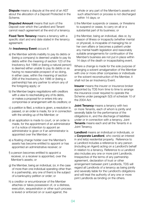**Dispute** means a dispute at the end of an AST about the allocation of a Deposit Protected in the Scheme.

**Disputed Amount** means that sum of the Deposit over which the Landlord and Tenant cannot reach agreement at the end of a tenancy.

**Fixed Term Tenancy** means a tenancy with a specific start and end date stated in the tenancy agreement.

#### An **Insolvency Event** occurs if:

- a) the Member admits inability to pay its debts or (being a company) is deemed unable to pay its debts within the meaning of section 123 of the Insolvency Act 1986 or (being a natural person) is deemed either unable to pay its debts or as having no reasonable prospect of so doing, in either case, within the meaning of section 268 of the Insolvency Act 1986 or (being a partnership) has any partner to whom any of the foregoing apply; or
- b) the Member begins negotiations with creditors with a view to rescheduling any of its debts, or makes a proposal for or enters into any compromise or arrangement with its creditors; or
- c) a petition is filed, a notice is given, a resolution is passed, or an order is made, for or in connection with the winding up of the Member; or
- d) an application is made to court, or an order is made, for the appointment of an administrator or if a notice of intention to appoint an administrator is given or if an administrator is appointed over the Member; or
- e) a floating charge holder over the Member's assets has become entitled to appoint or has appointed an administrative receiver; or
- f) a person becomes entitled to appoint a receiver, or a receiver is appointed, over the Member's assets; or
- g) the Member, being an individual, (or, in the case of more than one individual operating other than in a partnership, any one of them) is the subject of a bankruptcy petition or order; or
- h) a creditor or encumbrancer of the Member attaches or takes possession of, or a distress, execution, sequestration or other such process is levied or enforced on or sued against, the

whole or any part of the Member's assets and such attachment or process is not discharged within 14 days; or

- i) the Member suspends or ceases, or threatens to suspend or cease, to carry on all or a substantial part of its business; or
- j) the Member, being an individual, dies or, by reason of illness or incapacity (whether mental or physical), is incapable of managing his or her own affairs or becomes a patient under any mental health legislation and reasonably suitable arrangements for continuation of the Member's business are not put in place within 14 days of the death or incapacitating event.

Where a change is made for the sole purpose of arranging a solvent amalgamation of the Member with one or more other companies or individuals or the solvent reconstruction of the Member, it shall not be an Insolvency Event.

**Insurer** means the insurer or insurance broker appointed by TDS from time to time to arrange the insurance cover required to operate the Scheme under paragraph 5(3) of schedule 10 of the 2004 Act.

**Joint Tenancy** means a tenancy with two or more Tenants, each of whom is jointly and severally liable for the performance of the obligations in, and the discharge of liabilities under or in connection with a tenancy. Joint **Tenants** means each and all the Tenants in a Joint Tenancy.

**Landlord** means an individual or individuals, or a **Corporate Landlord**, who own(s) an interest in and let(s) residential property. Reference to a Landlord includes a reference to any person (including an Agent) acting on a Landlord's behalf in relation to a tenancy. Reference to a Landlord also includes any one or more joint Landlords. Irrespective of the terms of any partnership agreement, declaration of trust or other arrangement between joint Landlords, TDS will regard all Landlords of a tenancy as being jointly and severally liable for the Landlord's obligations and will treat the authority of any one or more joint Landlords as binding on the others.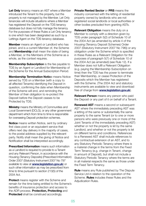**Let Only** tenancy means an AST where a Member introduced the Tenant to the property, but the property is not managed by the Member. Let Only tenancies will include situations where a Member has registered the Deposit on the TDS tenancy database but does not fully manage the tenancy. For the purposes of these Rules a Let Only tenancy is one which has been designated as such by a Lettings Agent on the TDS tenancy database.

**Member** means an Agent or Landlord who has joined, and is a current Member of, the Scheme and **Membership** shall mean the state of being a Member, or the Members of the Scheme as a whole, as the context requires.

**Membership Subscription** is the fee payable to TDS by an Agent or Landlord for Membership of the Scheme for the Annual Subscription Period.

**Membership Termination Notice means Notice** served by TDS on a Member (with a copy to all affected Tenants) identifying the Deposit in question, confirming the date when Membership of the Scheme will end, and reminding the Member of their obligation to re-protect the Deposit before the Deposit ceases to be Protected by TDS.

**Ministry** means the Ministry of Communities and Local Government (DCLG), or any other government department which from time to time is responsible for overseeing Deposit protection schemes.

**Notice** means written Notice, sent by ordinary first class post or an equivalent service that offers next day delivery in the majority of cases, to the postal address supplied by the relevant party. Notify shall mean the giving of Notice and Notification shall be interpreted accordingly.

**Prescribed Information** means such information as a Landlord is required to provide to a Tenant and any Relevant Person, in accordance with the Housing (Tenancy Deposits) (Prescribed Information) Order 2007 (Statutory Instrument 2007 No 797 available to view at **[www.legislation.gov.uk](http://www.legislation.gov.uk)**) or such other information as may be prescribed from time to time pursuant to section 213(5) of the 2004 Act.

**Protect** means register with the Scheme and remain for the time being entitled to the Scheme's benefits of insurance protection and access to the ADR process. **Protection, Protecting** and **Protected** shall be construed accordingly.

**Private Rented Sector** or **PRS** means the industry concerned with the letting of residential property owned by landlords who are not registered social landlords or local authorities or other bodies precluded from granting ASTs.

**Relevant Obligation** means the duty on a Member to comply with a direction given by TDS under paragraph 5(2) of Schedule 10 of the 2004 Act (as amended by article 4 of the Housing (Tenancy Deposit Schemes) Order 2007 (Statutory Instrument 2007 No 796)) or any obligation under the Scheme which is specified in these Rules as a Relevant Obligation for the purposes of paragraph 5(7) of Schedule 10 of the 2004 Act (as amended) (see Rule 12). If a Member does not fulfil a Relevant Obligation (e.g. paying the Membership Subscription on time) then the TDS has the power to terminate their Membership, or cease Protection of the Deposits which the Member has registered with the Scheme. (The 2004 Act and statutory instruments are available to view and download free of charge from **[www.legislation.gov.uk](http://www.legislation.gov.uk)**).

**Relevant Person** means any person who paid the Deposit or any part of it on behalf of a Tenant.

**Renewed AST** means a second or subsequent AST where the immediately preceding AST was a letting of the same or substantially the same property to the same Tenant (or to one or more persons who were previously one or more of the Joint Tenants of the immediately preceding AST) whether or not the property is let by the same Landlord, and whether or not the property is let on different terms and conditions. References to a Renewed AST shall include references to any contractual extension of an AST, and to any Statutory Periodic Tenancy where there is a material change in the terms from the Fixed Term Tenancy (e.g. change in Tenant, change in amount of Deposit), but shall not include a Statutory Periodic Tenancy where the terms are in all material respects the same as those under the Fixed Term Tenancy.

**Rule** means any Rule published by The Dispute Service Ltd in relation to the operation of the Scheme. **Rules** includes these Rules and the Adiudication Rules.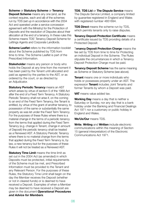#### **Scheme** or **Statutory Scheme** or **Tenancy**

**Deposit Scheme** means any one (and, as the context requires, each and all) of the schemes run by TDS (set up in accordance with the 2004 Act and operated under a service concession agreement with the Ministry) for the Protection of Deposits and the resolution of Disputes about their allocation at the end of a tenancy. In these rules this Scheme means TDS' Tenancy Deposit Scheme for Lettings Agents and Corporate Landlords.

**Scheme Leaflet** refers to the information booklet about the Scheme published by TDS from time to time. The Scheme Leaflet is part of the Prescribed Information.

**Stakeholder** means any person or body who holds the Deposit at any time from the moment it has been paid by the Tenant until allocated and paid as agreed by the parties to the AST, or as ordered by the court, or as directed by an Adjudicator.

**Statutory Periodic Tenancy** means an AST which arises by virtue of section 5 of the 1988 Act after the end of a Fixed Term Tenancy. A Statutory Periodic Tenancy shall not arise if, on the coming to an end of the Fixed Term Tenancy, the Tenant is entitled, by virtue of the grant of another tenancy, to possession of the same or substantially the same property as was let under the Fixed Term Tenancy. For the purposes of these Rules where there is a material change in the terms of a periodic tenancy from the terms that applied during the Fixed Term Tenancy (e.g. change in Tenant, change in amount of Deposit) the periodic tenancy shall be treated as a Renewed AST. A Statutory Periodic Tenancy where there is no material change from the terms that applied during the Fixed Term Tenancy is, by law, a new tenancy but for the purposes of these Rules it will not be treated as a Renewed AST.

**Statutory Time Limit** means the time limit as set out in the 2004 Act (as amended) in which Deposits must be protected, initial requirements of the Scheme must be met, and Prescribed Information must be provided to the Tenant and any Relevant Person. For the purposes of these Rules, the Statutory Time Limit shall begin on the day the Member receives the Deposit (whether or not in cleared funds) or is deemed to have received a Deposit. Examples of when a Member may be deemed to have received a Deposit are given in the document *Operational Procedures and Advice for Members*.

**TDS**, **TDS Ltd** or **The Dispute Service** means The Dispute Service Limited, a company limited by guarantee registered in England and Wales with registered number 4851694.

**TDS Direct** means the scheme run by TDS, which permits tenants only to raise disputes.

**Tenancy Deposit Protection Certificate** means a certificate issued by TDS providing details of a Protected Deposit.

T**enancy Deposit Protection Charge** means the fee set by TDS from time to time for Protecting an individual Deposit in the Scheme. The Rules stipulate the circumstances in which a Tenancy Deposit Protection Charge must be paid.

**Tenancy Deposit Scheme** has the same meaning as Scheme or Statutory Scheme (see above).

**Tenant** means one or more individuals who holds or possesses property under an AST. The expression **Tenant** includes Joint Tenants and former Tenants by whom a Deposit was paid.

**VAT** means value added tax.

**Working Day** means a day that is neither a Saturday or Sunday, nor any day that is a bank holiday under the Banking and Financial Dealings Act 1971 nor a customary or public holiday in England and Wales.

**We/Us/Our** means TDS.

**Write**, **Writing** and **Written** include electronic communications within the meaning of Section 15 (general interpretation) of the Electronic Communications Act 1971.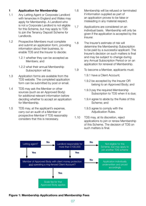#### <span id="page-6-0"></span>**1 Application for Membership**

- 1.1 Any Letting Agent or Corporate Landlord with tenancies in England and Wales may apply for Membership. A Landlord who is not a Corporate Landlord is not eligible for this Scheme, but may apply to TDS to join the Tenancy Deposit Scheme for Landlords.
- 1.2 Prospective Members must complete and submit an application form, providing information about their business, to enable TDS and the Insurer to decide:
	- 1.2.1 whether they can be accepted as Members; and
	- 1.2.2 what their annual Membership Subscription will be.
- 1.3 Application forms are available from the TDS website. The completed application form can be submitted by post or email.
- 1.4 TDS may ask the Member or other sources (such as an Approved Body) for additional relevant information before deciding whether to accept an application for Membership.
- 1.5 TDS may, at the applicant's expense, carry out an audit of a Member or prospective Member if TDS reasonably considers that this is necessary.
- 1.6 Membership will be refused or terminated if information supplied as part of an application proves to be false or misleading in any material respect.
- 1.7 Applications are considered on an individual basis. Membership will only be given if the application is accepted by the Insurer.
- 1.8 The Insurer's estimate of risk will determine the Membership Subscription to be paid by a successful applicant. The Insurer's decision on such matters is final and may be subject to change during any Annual Subscription Period or on an application for renewal of Membership.
- 1.9 To become a Member, applicants must:
	- 1.9.1 have a Client Account;
	- 1.9.2 be accepted by the Insurer OR belong to an Approved Body; and
	- 1.9.3 pay the required Membership Subscription to TDS when it is due;
	- 1.9.4 agree to abide by the Rules of this Scheme; and
	- 1.9.5 agree to comply with the Adiudication Rules.
- 1.10 TDS may, at its discretion, reject applications to join or renew Membership of this Scheme. The decision of TDS on such matters is final.



**Figure 1: Membership Applications and Membership Fees**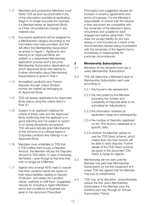- <span id="page-7-0"></span>1.11 Members and prospective Members must Notify TDS as soon as practicable if any of the information provided at application stage is no longer accurate (for example, if a Member leaves an Approved Body) or if their circumstances change in any material way.
- 1.12 Successful applicants will be assigned to a Membership category according to the information they have provided, and this will affect the Membership Subscription as shown in Figure 1. Applicants who belong to an Approved Body are entitled to a streamlined Membership application process and a set price Membership Subscription dependent on which Approved Body they belong to. Further information about Membership Subscriptions is given in Rule 2.
- 1.13 Accredited Landlords who Protect Deposits through Unipol Student Homes are treated as belonging to an Approved Body.
- 1.14 TDS will assess applications for Approved Body status using the criteria listed in Rule 20.
- 1.15 Subject to an applicant meeting the criteria of these rules and the Approved Body confirming that the applicant is in good standing and not subject to recent or on-going disciplinary procedures, TDS will automatically grant Membership of this Scheme to a Lettings Agent or Corporate Landlord who belongs to an Approved Body.
- 1.16 Members must undertake to TDS that, if TDS notifies them to pay a Disputed Amount, the Member will pay the Disputed Amount to TDS within 10 days of receiving the Notice – even though at that time they may no longer be a Member.
- 1.17 Agents who arrange ASTs need to ensure that their Landlord clients are aware of their responsibilities relating to Deposit Protection, and obtain the Landlord clients' authority to fulfil them. Suggested clauses for including in Agent Members' terms and conditions of business are given in the document Prescribed

Information and suggested clauses for inclusion in tenancy agreements and terms of business. It is the Member's responsibility to ensure that the clauses in that document are compatible with the remainder of the Member's terms of business and suitable for each engagement before using them. TDS does not accept liability for any loss arising or cost incurred as a result of the recommended clauses being inconsistent with the remainder of the Agent's terms of business or inappropriate for particular circumstances.

#### **2 Membership Subscriptions**

- 2.1 Members of this Scheme must pay a yearly Membership Subscription.
- 2.2 TDS will determine a Member's level of Membership Subscription each year according to:
	- 2.2.1 the Insurer's risk assessment;
	- 2.2.2 the risk posed by the Member (including the number and complexity of Disputes likely to be submitted for Adjudication);
	- 2.2.3 the information obtained at application stage and subsequently;
	- 2.2.4 the number of Deposits registered on the TDS tenancy database on a specific date;
	- 2.2.5 whether the Member wishes to use the TDS Direct scheme, which means that only their tenants will be able to raise disputes. Further details of the TDS Direct scheme are given in the document TDS Direct A Guide for Agents.
- 2.3 Membership will not start until the Member has paid their Membership Subscription (or the first instalment of it where TDS has agreed that the Member may pay by instalments).
- 2.4 TDS may, at its discretion, proportionately reduce the first year's Membership Subscription if the Member joins the Scheme part-way through an Annual Subscription Period.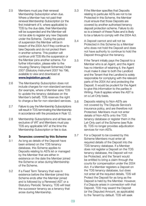- <span id="page-8-0"></span>2.5 Members must pay their renewal Membership Subscription when due. Where a Member has not paid their renewal Membership Subscription (or the first instalment of it, where applicable) to TDS by the due date, their Membership will be suspended and the Member will not be able to register any new Deposits under the Scheme. During the period of suspension the Member will be in breach of the 2004 Act if they continue to take Deposits and do not protect them in another scheme. This position will continue until TDS lifts the suspension or the Member joins another scheme. For further information, please refer to the Housing (Tenancy Deposit Schemes) Order 2007 (Statutory Instrument 2007 No 796, available to view and download at **[www.legislation.gov.uk](http://www.legislation.gov.uk)**).
- 2.6 The Membership Subscription does not include charges for non-standard services (for example, where a Member asks TDS to update the tenancy database on the Member's behalf). TDS reserves the right to charge a fee for non-standard services.
- 2.7 Failure to pay the Membership Subscriptions will result in TDS terminating the Membership in accordance with the procedure in Rule 12.
- 2.8 Membership Subscriptions and all fees are exclusive of VAT and Members must pay TDS any applicable VAT at the time the Membership Subscription or fee is due.

#### **3 Tenancies covered by this Scheme**

- 3.1 As long as details of the Deposit have been entered on the TDS tenancy database, this Scheme applies to Deposits relating to ASTs let or managed by the Member that are either in existence on the date the Member joined the Scheme or arise during Membership of the Scheme.
- 3.2 If a Fixed Term Tenancy that was in existence before the Member joined this Scheme ends after the Member joined and is followed by a Renewed AST or a Statutory Periodic Tenancy, TDS will treat the successor tenancy as a tenancy that arose during Membership.
- 3.3 If the Member specifies that Deposits relating to particular ASTs are not to be Protected in this Scheme, the Member must ensure that those Deposits are covered by another authorised tenancy deposit protection scheme. Failure to do so is a breach of these Rules and is likely to be a failure to comply with the 2004 Act.
- 3.4 A Deposit cannot and will not be Protected in this Scheme by a Member who does not hold the Deposit and does not have authority to continue to hold the Deposit throughout the tenancy.
- 3.5 If the Tenant initially pays the Deposit to a Member who is an Agent, and the Agent has no intention of retaining it, the Agent must make it clear to both the Landlord and the Tenant that the Landlord is solely responsible for complying with the relevant parts of the 2004 Act and protecting the Deposit. It would be prudent for the Agent to give this information to the parties in Writing. Rule 8 applies where the AST is on a Let-Only basis.
- 3.6 Deposits relating to Non-ASTs are not covered by The Dispute Service's insurance policy, and are therefore not Protected. Members must not enter details of Non-ASTs onto the TDS tenancy database or register them in the Let-Only part of the Scheme (see Rule 8). TDS no longer provides adjudication services for non-ASTs.
- 3.7 For a Deposit to be covered by this Scheme Members must enter all required details of the Deposit into the TDS tenancy database. If a Member does not register a Deposit on the TDS tenancy database, the Deposit will not be Protected, and the Tenant would be entitled to bring a claim through the courts for compensation under the 2004 Act. If a Member registers a Deposit on the TDS tenancy database, but does not enter all the required details, TDS will Protect the Deposit for as long as the Deposit is held by the Member. However, if a Dispute arises in connection with that Deposit, TDS may award the Deposit (or the Disputed Amount, as applicable) to the Tenant by default. TDS will seek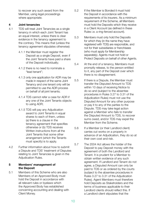<span id="page-9-0"></span>to recover any such award from the Member, using legal proceedings where appropriate.

#### **4 Joint tenancies**

- 4.1 TDS will treat Joint Tenancies as a single tenancy in which each Joint Tenant has an equal interest, unless there is clear evidence in the tenancy agreement to the contrary. This means that (unless the tenancy agreement stipulates otherwise):
	- 4.1.1 the Member must register the Deposit as a single Deposit, even if the Joint Tenants have paid a share of the Deposit individually;
	- 4.1.2 there is no need to nominate a "lead tenant";
	- 4.1.3 only one application for ADR may be made in respect of the same Joint Tenancy and one tenant only will be permitted to use the ADR process on behalf of all joint tenants;
	- 4.1.4 TDS cannot refer a case for ADR if any one of the Joint Tenants objects to using ADR;
	- 4.1.5 TDS will pay any Adjudication award to Joint Tenants in equal shares to each of them, unless (a) there is a clause in the tenancy agreement that specifies otherwise or (b) TDS receives Written instructions from all the Joint Tenants that some other arrangement (which the Tenants must specify) is to apply.
- 4.2 Further information about how to submit a Dispute and TDS' treatment of Disputes relating to Joint Tenancies is given in the Adjudication Rules.

#### **5 Members' management of the Deposit**

5.1 Members of this Scheme who are also Members of an Approved Body must hold the Deposit in accordance with all relevant rules or byelaws which the Approved Body has established concerning accounting and dealing with Client Money.

- 5.2 If the Member is Bonded it must hold the Deposit in accordance with the requirements of its insurers. As a minimum requirement of the Scheme, all Members must hold the Deposits which they receive in a Client Account (as defined in these Rules i.e. a ring-fenced account).
- 5.3 Members must only hold the Deposits for which they (in the name they have registered with TDS) are responsible, and not for their subsidiaries or franchisees (who must apply for Membership separately). Agents must not hold or Protect Deposits on behalf of other Agents.
- 5.4 At the end of a tenancy, Members must promptly release, to the person entitled to it, any part of the Deposit over which there is no disagreement.
- 5.5 If there is a Dispute, the Member must transfer the Disputed Amount to TDS within 10 days of receiving Notice to do so and (subject to the absentee procedures in Rules 3.27 to 3.31 of the Adjudication Rules) must not use the Disputed Amount for any other purpose or pay it to any of the parties to the Dispute. TDS may take legal action against a Member who fails to transfer the Disputed Amount to TDS, to recover sums owed, and/or TDS may expel the Member from the Scheme.
- 5.6 If a Member (or their Landlord client) carries out works on a property in advance of an Adjudication, they do so at their own cost and risk.
- 5.7 The 2004 Act allows the holder of the Deposit to pay Deposit money with the agreement of both the Landlord and Tenant. It is prudent for a Member to obtain written evidence of any such agreement. If Landlord and Tenant do not agree, a Disputed Amount can only be paid to TDS or as ordered by the courts (subject to the absentee procedures in Rules 3.27 to 3.31 of the Adjudication Rules). Agent Members must therefore hold Deposits as Stakeholders and the terms of business applicable to their Landlord clients should reflect this. If a Landlord client stipulates that the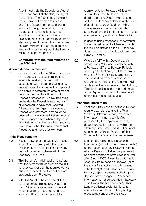<span id="page-10-0"></span>Agent must hold the Deposit "as Agent" rather than "as Stakeholder", the Agent must refuse. The Agent should explain that it would not be able to release any of the Deposit to the Landlord, at any point during the tenancy, without the agreement of the Tenant, or an Adjudication or an order of the court unless the absentee procedure referred to above applies. An Agent Member should consider whether it is appropriate to be responsible for the Deposit if the Landlord will not accept that position.

#### **6 Complying with the requirements of the 2004 Act**

#### **When a deposit is received**

6.1 Section 213 (1) of the 2004 Act stipulates that a Deposit must, as from the time when it is received, be dealt with in accordance with an authorised tenancy deposit protection scheme. It is important to be able to establish the date of receipt, because the Statutory Time Limit for Deposit protection is 30 days, beginning on the day the Deposit is received and/ or is deemed to have been received. A Landlord or his Agent may receive a Deposit when payment is made, or be deemed to have received it at some other time. Guidance about when a Deposit is likely to be deemed to have been received is available in the document Operational Procedure and Advice for Members.

#### **Initial Requirements**

- 6.2 Section 213 (3) of the 2004 Act requires a Landlord to comply with the initial requirements of an authorised tenancy deposit protection scheme within the Statutory Time Limit.
- 6.3 This Scheme's 'initial requirements' are that the Member must enter on the TDS tenancy database all the required details about a Deposit if that Deposit has not previously been Protected.
- 6.4 After the Member has entered all the required details relating to a Deposit on the TDS tenancy database for the first time the Member does not need to do so again. This Scheme has no initial

requirements for Renewed ASTs and/ or Statutory Periodic Tenancies if all details about the Deposit were entered on the TDS tenancy database at the start of a prior tenancy. A fixed term which continues as a contractual periodic tenancy, after the fixed term has run out is a single tenancy and not a Renewed AST.

- 6.5 If (despite using reasonable endeavours) it is not possible for the Member to enter the required details on the TDS tenancy database, an alternative is available – see Rules 7.3 and 7.4.
- 6.6 Where an AST with a Deposit began before 6 April 2007 and is replaced with a Renewed AST or a Statutory Periodic Tenancy after that date, the Member must meet the Scheme's initial requirements. The Deposit is deemed to have been received at the start of the Renewed AST or Statutory Periodic Tenancy, the Statutory Time Limit begins, and all required details of the Deposit must promptly be entered on the TDS tenancy database.

#### **Prescribed Information**

- 6.7 Sections 213 (5) and (6) of the 2004 Act require a Landlord to give the Tenant (and any Relevant Person) Prescribed Information, including any leaflet published by the applicable tenancy deposit protection scheme, within the Statutory Time Limit. This is not an initial requirement of these Rules or of this Scheme, but it is what the law requires.
- 6.8 Landlords should serve Prescribed Information (including the Scheme Leaflet) on the Tenant and any Relevant Person when a Deposit is first actually received, or is first deemed to have been received after 6 April 2007. Prescribed information need only be re-served at renewal (or at the start of a statutory periodic tenancy) if the tenant(s), landlord(s), premises and tenancy deposit scheme protecting the deposit, have changed. If Prescribed Information is not served within Statutory Time Limits, the Member (and/or their Landlord clients) could risk Tenants and/or Relevant Persons bringing legal proceedings under the 2004 Act.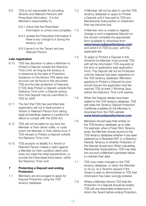- <span id="page-11-0"></span>6.9 TDS is not responsible for providing Tenants and Relevant Persons with Prescribed Information. It is the Member's responsibility to:
	- 6.9.1 check that the Prescribed Information is correct and complete;
	- 6.9.2 update the Prescribed Information if there is any change to it during the tenancy; and
	- 6.9.3 serve it on the Tenant and any Relevant Person.

#### **Late registration**

- 6.10 TDS has discretion to allow a Member to Protect a Deposit outside the Statutory Time Limit, as long as the tenancy is in existence at the date of Protection. Guidance on the factors TDS takes into account can be found in the document TDS and the late protection of Deposits. If TDS does Protect a Deposit outside the Statutory Time Limit, a Dispute arising from that Deposit may be submitted to TDS for ADR.
- 6.11 The fact that TDS has permitted late registration will not in itself prevent a Tenant or Relevant Person from taking legal proceedings against a Landlord for failure to comply with the 2004 Act.
- 6.12 TDS will not be liable for any loss the Member or their clients suffer, or costs which the Member or their clients incur, if TDS refuses to Protect a Deposit outside the Statutory Time Limit.
- 6.13 TDS accepts no liability if a Tenant or Relevant Person makes a claim against a Member (or their Landlord client) who does not meet the initial requirements, or provide the Prescribed Information, within the Statutory Time Limit.

#### **7 Protecting a Deposit and ending Protection**

7.1 Members are encouraged to apply for Deposit Protection using the TDS tenancy database.

- 7.2 A Member will not be able to use the TDS tenancy database or apply to Protect a Deposit until it has paid to TDS any Membership Subscription or instalment that has become due.
- 7.3 A Member who is unable to register, change or end a registered Deposit on line should complete the appropriate form (available to download from **www.tenancydepositscheme.com**) and send it to TDS by post, with the applicable fee.
- 7.4 To apply to Protect a Deposit in this Scheme the Member must provide TDS with all the information TDS requests at the time of application (see application form). The Deposit will not be Protected until the Deposit has been registered on the TDS tenancy database. Members applying to Protect a Deposit by post should ensure the application and fee reaches TDS at least 2 Working Days before the Statutory Time Limit expires.
- 7.5 When the Deposit details have been added to the TDS tenancy database, TDS will make the Tenancy Deposit Protection Certificate available for the Member to download from the TDS website **www.tenancydepositscheme.com**
- 7.6 Members should keep their entries on the TDS tenancy database up to date. For example, when a Fixed Term Tenancy ends, the Member should record on the TDS tenancy database whether it has been replaced by a Renewed AST or a Statutory Periodic Tenancy or whether Protection of the Deposit should end. When calculating Membership Subscriptions, TDS may take into account a Member's persistent failure to maintain their data.
- 7.7 TDS may make changes to the TDS tenancy database, or direct the Member to do so, at a Tenant's request if the Tenant is able to demonstrate to TDS that information has been wrongly entered
- 7.8 Where a Member informs TDS that the Protection of a Deposit should be ended, TDS will use reasonable endeavours to inform the Tenant before ending Protection.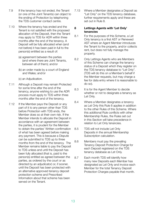- <span id="page-12-0"></span>7.9 If the tenancy has not ended, the Tenant (or one of the Joint Tenants) can object to the ending of Protection by telephoning the TDS customer contact centre.
- 7.10 Where the tenancy has ended and the Tenant is not satisfied with the proposed allocation of the Deposit, then the Tenant may apply to TDS for ADR within three months after the end of the tenancy. A Deposit will be fully allocated when (and not before) it has been paid in full to the person(s) entitled as a result of:
	- (a) agreement between the parties (and where there are Joint Tenants, between all of them); and/or
	- (b) an order made by a court of England and Wales; and/or
	- (c) an Adjudication.
- 7.11 Although a Deposit may remain Protected for some time after the end of the tenancy, anyone wishing to use the ADR process must apply to TDS within three months after the end of the tenancy.
- 7.12 If the Member pays the Deposit or any part of it to any person other than TDS before Protection with TDS ends, the Member does so at their own risk. If the Member intends to allocate the Deposit in accordance with an agreement between the parties, it is prudent for the Member to obtain the parties' Written confirmation of what has been agreed before making any payment. This is because a Dispute can be submitted to TDS up to three months from the end of the tenancy. The Member remains liable to pay the Deposit to TDS unless and until the Deposit has been fully allocated (that is, paid to the person(s) entitled as agreed between the parties, as ordered by the court or as directed by an adjudicator) or, if sooner, until the Deposit has been protected with an alternative approved tenancy deposit protection scheme and Prescribed Information about that scheme has been served on the Tenant.

7.13 Where a Member designates a Deposit as "Let Only" on the TDS tenancy database, further requirements apply and these are set out in Rule 8.

#### **8 Lettings Agents with 'Let Only' tenancies**

- 8.1 For the purposes of this Scheme, a Let Only tenancy is a first AST or Renewed AST where an Agent Member introduces the Tenant to the property, and/or collects rent, but does not fully manage the property.
- 8.2 Only Lettings Agents who are Members of this Scheme can change the tenancy status of a Deposit which they register on the TDS tenancy database to "Let Only". (TDS will do this on a Member's behalf if the Member requests, but may charge a fee for data entry where it is reasonable to do so).
- 8.3 It is for the Agent Member to decide whether or not to designate a tenancy as Let Only.
- 8.4 Where a Member designates a tenancy as Let Only this Rule 8 applies in addition to the other Rules of this Scheme. Where this additional Rule conflicts with other Membership Rules, the Rules set out in this Section will take precedence in relation to Let Only tenancies.
- 8.5 TDS will not include Let Only Deposits in the annual Membership Subscription calculation.
- 8.6 Members must pay the prevailing Tenancy Deposit Protection Charge for each Deposit registered on the TDS tenancy database as Let Only.
- 8.7 Each month TDS will identify how many new Deposits each Member has designated as Let Only and invoice each Member for the total Tenancy Deposit Protection Charges payable that month.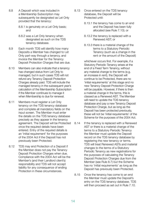- 8.8 A Deposit which was included in a Membership Subscription may subsequently be designated as Let Only provided that the tenancy:
	- 8.8.1 is genuinely on a Let Only basis; and
	- 8.8.2 was a Let Only tenancy when designated as such on the TDS tenancy database.
- 8.9 Each month TDS will identify how many Deposits a Member has changed to Let Only part-way through a tenancy, and invoice the Member for the Tenancy Deposit Protection Charges that are due.
- 8.10 Members can also indicate that a tenancy has changed status from Let Only to managed, but in such cases TDS will not refund any Tenancy Deposit Protection Charges already paid. TDS will include the managed tenancy in the subsequent year's calculation of the Membership Subscription if the Member continues to manage it when Membership is due for renewal.
- 8.11 Members must register a Let Only tenancy on the TDS tenancy database and complete all mandatory fields on the input screen. The Member must enter the details on the TDS tenancy database precisely as they appear in the tenancy agreement. The Deposit will be Protected once the required details have been entered. Entry of the required details is an 'initial requirement' for the purposes of the 2004 Act if the Deposit has not previously been Protected.
- 8.12 TDS may end Protection of a Deposit if the Member does not pay the Tenancy Deposit Protection Charges when due. Compliance with the 2004 Act will be the Member's (and their Landlord client's) responsibility and TDS will not accept liability for any consequence of ending Protection in these circumstances.
- 8.13 Once entered on the TDS tenancy database, the Deposit will be Protected until:
	- 8.13.1 the tenancy has come to an end and the Deposit has been fully allocated (see Rule 7.10); or
	- 8.13.2 the tenancy is replaced with a Renewed AST; or
	- 8.13.3 there is a material change of the terms to a Statutory Periodic Tenancy (such as a change in the rent or the amount of the Deposit)

whichever occurs first. For example, if a Statutory Periodic Tenancy arises at the end of a Fixed Term Tenancy, without any material change to the terms (e.g. an increase in rent), the Deposit will continue to be Protected, there are no 'initial requirements' at this stage and no new Tenancy Deposit Protection Charge will be payable. However, if there is then a material change in the terms, this is classed as a Renewed AST. The Member will need to update the TDS tenancy database and pay a new Tenancy Deposit Protection Charge, but as long as the Deposit has been protected previously, these will not be 'initial requirements' of the Scheme for the purposes of the 2004 Act.

- 8.14 If the tenancy is replaced with a Renewed AST or there is a material change of the terms to a Statutory Periodic Tenancy the Member must update the Deposit record on the TDS tenancy database by registering the new tenancy or terms. TDS will treat Renewed ASTs and material changes to the terms of a Statutory Periodic Tenancy as new registrations for the purposes of calculating the Tenancy Deposit Protection Charges due from the Member (see Rule 8.7) but the Scheme has no 'initial requirements' as long as the Deposit has previously been Protected.
- 8.15 Once the tenancy has come to an end the Member must update the Deposit's entry on the TDS tenancy database. TDS will then proceed as set out in Rule 7.10.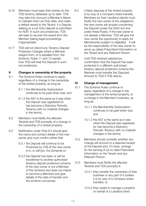- <span id="page-14-0"></span>8.16 Members must keep their entries on the TDS tenancy database up to date. TDS may take into account a Member's failure to maintain their Let Only data, and make a default award to the Tenant, if a Dispute relating to a Let Only Deposit is submitted for ADR. In such circumstances, TDS will seek to recover the award from the Member (taking legal proceedings if appropriate).
- 8.17 TDS will not refund any Tenancy Deposit Protection Charges where a Member resigns from, or is expelled from, the Scheme. Rules 11 and 12 explain how TDS will treat the Deposit in such circumstances.

#### **9 Changes in ownership of the property**

- 9.1 The Scheme Rules continue to apply, regardless of a change in the ownership of the rented property, as long as:
	- 9.1.1 the Membership Subscription continues to be paid when due; and
	- 9.1.2 the AST is the same as it was when the Deposit was registered (or has become a Statutory Periodic Tenancy with no material changes in the terms).
- 9.2 Members must Notify the affected Tenants and TDS promptly of a change in the ownership of a rented property.
- 9.3 Notification under Rule 9.2 should give the name and contact details of the new owner and must confirm either that:
	- 9.3.1 the Deposit will continue to be Protected by TDS (if the new owner is in, or will join, the Scheme) or;
	- 9.3.2 the Deposit has been or will be transferred to another authorised tenancy deposit protection scheme (if the new owner is not a Member of this Scheme and does not intend to become a Member) and give details of the date of transfer and the scheme concerned.
- 9.4 Unless disposal of the rented property is by way of a Company share transfer, Members (or their Landlord clients) must Notify the new owner of the obligations the new owner will acquire concerning the Deposit (under the 2004 Act and under these Rules). If the new owner is not already a Member, TDS will give the new owner the opportunity to apply for Membership (subject to eligibility). It will be the responsibility of the new owner to serve up-dated Prescribed Information on the Tenant and any Relevant Person.
- 9.5 Until TDS receives satisfactory confirmation that the Deposit has been protected in a different authorised tenancy deposit protection scheme the Member must transfer the Disputed Amount to TDS if TDS directs.

#### **10 Change of management**

- 10.1 The Scheme Rules continue to apply, regardless of a change in the management of the rented property, or a change in the Member's business, as long as:
	- 10.1.1 the Membership Subscription continues to be paid when due; and
	- 10.1.2 the AST is the same as it was when the Deposit was registered (or has become a Statutory Periodic Tenancy with no material changes in the terms).
- 10.2 Members should consider whether any change will amount to a deemed receipt of the Deposit and, if it does, arrange for the serving of up-to-date Prescribed Information on the Tenant and any Relevant Person.
- 10.3 Members must Notify the affected Tenants and TDS promptly if:
	- 10.3.1 they transfer the ownership of their business or any part of it (unless it is by way of a Company share transfer); or
	- 10.3.2 they cease to manage a property on behalf of a Landlord client.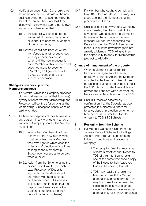- <span id="page-15-0"></span>10.4 Notification under Rule 10.3 should give the name and contact details of the new business owner or manager (advising the Tenant to contact their Landlord if the identity of the new manager is not known) and must confirm either that:
	- 10.4.1 the Deposit will continue to be Protected (if the new manager is, or is about to become, a Member of the Scheme) or;
	- 10.4.2 the Deposit has been or will be transferred to another authorised tenancy deposit protection scheme (if the new manager is not a Member of this Scheme and does not intend to become a Member) and give details of the date of transfer and the scheme concerned.

#### **Changes in ownership of the Member's business**

- 10.5 If a Member which is a Company disposes of their business (or part of their business) by way of share transfer, Membership and Protection will continue for as long as the Membership Subscription continues to be paid when due.
- 10.6 If a Member disposes of their business or any part of it in any way other than by a transfer of Company shares, the Member must either:
	- 10.6.1 assign their Membership of the Scheme to the new owner, who must be or become a Member in their own right (in which case the Rules and Protection will continue as long as the Membership Subscription continues to be paid when due); or
	- 10.6.2 resign from the Scheme using the procedure in Rule 11 (in which case Protection of Deposits registered by the Member will end when Membership ends or, if earlier, when TDS receives satisfactory confirmation that the Deposit has been protected in a different authorised tenancy deposit protection scheme).
- 10.7 If a Member who ought to comply with Rule 10.6 does not do so, TDS may take steps to expel the Member using the procedure in Rule 12.
- 10.8 Unless disposal is by way of a Company share transfer, Members must Notify any person who acquires the Member's business of the obligations the new manager will acquire concerning the Deposit (under the 2004 Act and under these Rules). If the new manager is not already a Member, TDS will give them the opportunity to apply for Membership (subject to eligibility).

#### **Change of management of the property**

- 10.9 Where a Member's Landlord client transfers management of a rented property to another Agent, the Member must Notify the Landlord client of their obligations relating to the Deposit (under the 2004 Act and under these Rules) and provide the Landlord with a copy of the Notice sent to Tenants under Rule 10.3.
- 10.10 Until TDS receives satisfactory confirmation that the Deposit has been protected in a different authorised tenancy deposit protection scheme the Member must transfer the Disputed Amount to TDS if TDS directs.

#### **11 Resigning from the Scheme**

- 11.1 If a Member wants to resign from the Tenancy Deposit Scheme for Lettings Agents and Corporate Landlords, the following conditions and procedure will apply:
	- 11.1.1 The resigning Member must give at least 6 months' prior Notice to TDS of their intention to resign, and at the same time send a copy of the Notice to their Approved Body (if they belong to one).
	- 11.1.2 TDS may require the resigning Member to give TDS a Written undertaking, in such form as TDS may from time to time prescribe, if circumstances have changed since the Member gave an earlier undertaking. All such undertakings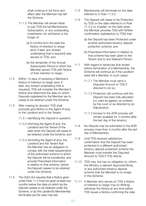shall continue in full force and effect after the Member has left the Scheme.

- 11.1.3 The Member will remain liable to pay TDS the full Membership Subscription, or any outstanding instalments, for whichever is the longer of:
	- (a) 6 months from the date the Notice of intention to resign (and, if later, any revised undertaking that is required) was served on TDS; and
	- (b) the remainder of the Annual Subscription Period in which the Member served TDS with Notice of their intention to resign.
- 11.2 Within 14 days of receiving a Member's Notice of intention to resign (and, if later, any revised undertaking that is required), TDS will consider the Member's Notice and determine the date on which Deposits registered by the Member are to cease to be retained under the Scheme.
- 11.3 After making its decision TDS shall promptly give Notice to the Agent (if any), to the Landlord and to the Tenant:
	- 11.3.1 identifying the Deposit in question;
	- 11.3.2 informing the Agent (if any), the Landlord and the Tenant of the date when the Deposit will cease to be retained under the Scheme; and
	- 11.3.3 reminding the Agent (if any), the Landlord and the Tenant that the Member has an obligation to comply with the initial requirements of the authorised scheme to which the Deposit will be transferred, and provide Prescribed Information in relation to that scheme, before the Deposit ceases to be retained under this Scheme.
- 11.4 The 2004 Act requires that a Notice given under Rule 11.3 must be given at least two months before the date on which (a) the Deposit ceases to be retained under the Scheme, or (b) the Landlord's Membership terminates (as the case may be).
- 11.5 Membership will terminate on the date referred to in Rule 11.3.2.
- 11.6 The Deposit will cease to be Protected by TDS on the date referred to in Rule 11.3.2 or, if earlier, on the date when the Member provides TDS with Written confirmation (satisfactory to TDS) that:
	- (a) the Deposit has been Protected under another authorised tenancy deposit protection scheme; and
	- (b) Prescribed Information in relation to that scheme has been given to the Tenant and to any Relevant Person.
- 11.7 With regard to tenancies that ended before termination of a Membership, the Scheme will continue as if the Landlord were still a Member. In such cases:
	- 11.7.1 The Member must send a Disputed Amount to TDS if directed to do so;
	- 11.7.2 Protection will continue until the Deposit has been fully allocated (i.e. paid as agreed, as ordered by the court or as directed by an Adjudicator);
	- 11.7.3 Access to the ADR process will remain available for 3 months after the last day of the tenancy.
- 11.8 No Dispute may be submitted to the ADR process more than 3 months after the last day of Membership.
- 11.9 Until TDS receives satisfactory confirmation that the Deposit has been protected in a different authorised tenancy deposit protection scheme the Member must transfer the Disputed Amount to TDS if TDS directs.
- 11.10 TDS may, but has no obligation to, inform the Ministry, a relevant Approved Body, or any authorised tenancy deposit scheme that the Member is no longer in this Scheme.
- 11.11 A Member who serves on TDS a Notice of intention to resign may (in Writing) withdraw the Notice at any time before TDS issues a Notice confirming the date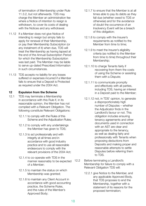<span id="page-17-0"></span>of termination of Membership under Rule 11.3.2, but not afterwards. TDS may charge the Member an administration fee where a Notice of intention to resign is withdrawn, to cover its costs of dealing with the Notices and any withdrawal.

- 11.12 If a Member does not give Notice of intending to resign but simply fails to apply for renewal of their Membership, or pay their Membership Subscription (or any instalment of it) when due, TDS will treat the Membership as having lapsed at the end of the Annual Subscription Period for which the Membership Subscription was last paid. The Member may be liable to serve up-dated Prescribed Information in such circumstances.
- 11.13 TDS accepts no liability for any losses suffered or expenses incurred if a Member fails to ensure that a Deposit is Protected as required under the 2004 Act.

#### **12 Expulsion from the Scheme**

- 12.1 TDS may terminate a Membership in accordance with this Rule if, in its reasonable opinion, the Member has not complied with a Relevant Obligation. The following constitute Relevant Obligations:
	- 12.1.1 to comply with the Rules of this Scheme and the Adjudication Rules;
	- 12.1.2 to comply with any undertakings the Member has given to TDS;
	- 12.1.3 to act professionally and with integrity at all times and in accordance with good industry practice and to use all reasonable endeavours to comply with the relevant provisions of the 2004 Act;
	- 12.1.4 to co-operate with TDS in the manner reasonably to be expected of a Member;
	- 12.1.5 to maintain the status on which Membership was granted;
	- 12.1.6 to maintain any Client Account in accordance with good accounting practice, the Scheme Rules, and the rules of the Member's Approved Body;
- 12.1.7 to ensure that the Member is at all times able to pay its debts as they fall due (whether owed to TDS or otherwise) and for the avoidance of doubt the occurrence of an Insolvency Event will be a breach of this obligation;
- 12.1.8 to comply with the Insurer's requirements as notified to the Member from time to time;
- 12.1.9 to meet the Insurer's eligibility criteria (as notified to the Member from time to time) throughout their Membership;
- 12.1.10 to charge Tenants fairly if recovering from them the costs of using the Scheme or assisting them with a Dispute;
- 12.1.11 to communicate promptly and effectively with all parties, including TDS, having an interest in a Deposit paid to the Member;
- 12.1.12 not, in TDS' opinion, to generate a disproportionately high number of Disputes – whether the Adjudicator finds in the Landlord's favour or not. This obligation includes ensuring tenancy agreements and other documents used in connection with an AST are clear and appropriate to the tenancy, as well as dealing fairly and professionally with Tenants when proposing deductions from Deposits and making proper and reasonable attempts to settle Disputes before referring them to TDS.
- 12.2 Before terminating a Landlord's Membership for failure to comply with a Relevant Obligation TDS will:
	- 12.2.1 give Notice to the Member, and any applicable Approved Body, that TDS proposes to end the Membership, together with a statement of its reasons for the proposed termination;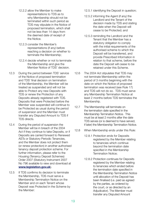- 12.2.2 allow the Member to make representations to TDS as to why Membership should not be terminated within such period as TDS may stipulate in the Notice of proposed termination, which shall not be less than 14 days from the deemed date of receipt of the Notice.
- 12.2.3 consider the Member's representations (if any) before reaching a decision on whether to terminate the Membership;
- 12.2.4 decide whether or not to terminate the Membership and give the Member Notice of TDS' decision.
- 12.3 During the period between TDS' service of the Notice of proposed termination and TDS' final decision on termination of the Membership, the Member will be treated as suspended and will not be able to Protect any new Deposits with TDS or renew the Protection of any Deposits already registered with TDS. Deposits that were Protected before the Member was suspended will continue to be Protected as usual during the period of suspension and the Member must transfer any Disputed Amount to TDS if TDS directs.
- 12.4 During the period of suspension the Member will be in breach of the 2004 Act if they continue to take Deposits, or if Deposits are carried forward to Renewed ASTs or Statutory Periodic Tenancies, and the Member does not protect them (or renew protection) in another authorised tenancy deposit protection scheme. For further information, please refer to the Housing (Tenancy Deposit Schemes) Order 2007 (Statutory Instrument 2007 No 796 available to view and download at **[www.legislation.gov.uk](http://www.legislation.gov.uk)**).
- 12.5 If TDS confirms its decision to terminate the Membership, TDS must serve a Membership Termination Notice on the Member and on each Tenant whose Deposit was Protected in the Scheme by the Member:

12.5.1 identifying the Deposit in question;

- 12.5.2 informing the Agent (if any) the Landlord and the Tenant of the decision made by TDS and stating the date when the Deposit will cease to be Protected; and
- 12.5.3 reminding the Landlord and the Tenant that the Member has a statutory obligation to comply with the initial requirements of the authorised scheme to which the Deposit will be transferred, and provide Prescribed Information in relation to that scheme, before the date the Deposit will cease to be retained under this Scheme.
- 12.6 The 2004 Act stipulates that TDS may not terminate Membership within the period of 3 months beginning with the date on which the Notice of proposed termination was received (see Rule 17) and TDS will not do so. TDS must serve any Membership Termination Notice at least 2 months before TDS terminates the Membership.
- 12.7 The Membership will terminate on the termination date specified in the Membership Termination Notice. This must be at least 2 months after the date TDS serves (or is deemed to have served, if later) the Membership Termination Notice.
- 12.8 When Membership ends under this Rule:
	- 12.8.1 Protection ends for Deposits registered by the Member relating to tenancies which continue beyond the termination date specified in the Membership Termination Notice;
	- 12.8.2 Protection continues for Deposits registered by the Member relating to tenancies which ended before the termination date specified in the Membership Termination Notice until allocation of the Deposit has been finalised (i.e. paid as agreed by the parties, as ordered by the court, or as directed by an Adjudicator). The Member must transfer any Disputed Amount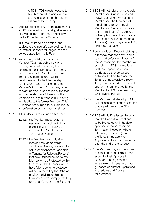to TDS if TDS directs. Access to Adjudication will remain available in such cases for 3 months after the last day of the tenancy.

- 12.9 Deposits relating to ASTs and agreements for ASTs entered into or arising after service of a Membership Termination Notice will not be Protected by the Scheme.
- 12.10 TDS may at its sole discretion, and subject to the Insurer's approval, continue to Protect Deposits for longer than the periods specified in this Rule.
- 12.11 Without any liability to the former Member, TDS may publish by which means, and in which media, TDS considers most appropriate the fact and circumstance of a Member's removal from the Scheme and/or publish details relevant to the Membership termination. TDS may also notify the Member's Approved Body or any other relevant body or organisation of the fact and circumstances of the end of the Membership, again without TDS having any liability to the former Member. This Rule does not purport to exclude liability for defamation or malicious falsehood.
- 12.12 If TDS decides to exclude a Member:
	- 12.12.1 the Member must notify its Approved Body (if any) of the exclusion within 14 days of receiving the Membership Termination Notice;
	- 12.12.2 the Member must not, after receiving the Membership Termination Notice, represent to actual or prospective Landlords or Tenants (or Relevant Persons) that new Deposits taken by the Member will be Protected by this Scheme or that Deposits which have fallen due for re-protection will be Protected by the Scheme, or after the Membership has terminated state or imply that they remain a Member of the Scheme;
- 12.12.3 TDS will not refund any pre-paid Membership Subscription and notwithstanding termination of Membership the Member will remain liable for any unpaid Membership Subscription relating to the remainder of the Annual Subscription Period, and for any other sums (including Disputed Amounts) due or payable to TDS, until they are paid;
- 12.12.4 as regards any Deposit relating to a tenancy that has or will come to an end before termination of the Membership, the Member will comply with TDS' instructions until the Deposit has been distributed either as agreed between the Landlord and the Tenant, or as awarded through TDS, or as ordered by the court and until all sums owed by the Member to TDS have been paid, whichever is the later;
- 12.12.5 the Member will abide by TDS' Adjudications relating to Disputes that are eligible for the ADR process;
- 12.12.6 TDS will Notify affected Tenants that the Deposit will continue to be Protected until the date specified in the Membership Termination Notice or (where a tenancy has ended) that the Tenant may apply for Adjudication for up to 3 months after the end of the tenancy;
- 12.12.7 the Member may also be subject to sanctions and or disciplinary action by their Approved Body or Bonding scheme where relevant. (See also TDS guidance document Operational Procedures and Advice for Members).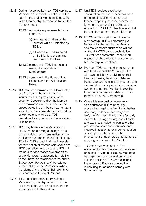- 12.13 During the period between TDS serving a Membership Termination Notice and the date for the end of Membership specified in the Membership Termination Notice the Member must:
	- 12.13.1 not make any representation or imply that:
		- (a) new Deposits taken by the Member will be Protected by TDS; or
		- (b) a Deposit will be Protected by TDS for longer than the timescales in this Rule;
	- 12.13.2 comply with TDS' instructions relating to Deposits and Membership;
	- 12.13.3 comply with the Rules of this Scheme and the Adjudication Rules.
- 12.14 TDS may also terminate the Membership of a Member in the event that the Insurer refuses to provide insurance cover for Deposits held by the Member. Such termination will be subject to the procedure outlined in Rules 12.2 to 12.13 except that the timescales for termination of Membership shall be at TDS' discretion, having regard to the availability of insurance.
- 12.15 TDS may terminate the Membership of a Member following a change in the Scheme Rules. Such termination will be subject to the procedure outlined in Rules 12.2 to 12.13 except that the timescales for termination of Membership shall be at TDS' discretion. In such cases, TDS will refund a fair and reasonable proportion of the Membership Subscription relating to the unexpired remainder of the Annual Subscription Period (if any) but without further liability to the Member or (where the Member is an Agent) their clients, or to Tenants and Relevant Persons.
- 12.16 If TDS decides against terminating a Membership, the Deposit will continue to be Protected until Protection ends in accordance with these Rules.
- 12.17 Until TDS receives satisfactory confirmation that the Deposit has been protected in a different authorised tenancy deposit protection scheme the Member must transfer the Disputed Amount to TDS if TDS directs – even if at the time they are no longer a Member.
- 12.18 If TDS decides against terminating a Membership, TDS will promptly give Notice of its decision to the Member and the Member's suspension will end on the date TDS serves such Notice. TDS will not contact the Tenant or an Agent's Landlord clients in cases where Membership will continue.
- 12.19 Provided TDS has acted in accordance with this Rule and the 2004 Act, TDS will have no liability to a Member, their Landlord clients, Tenants or Relevant Persons for any losses sustained or costs incurred during any period of suspension (whether or not the Member is expelled from the Scheme) or in relation to TDS' termination of the Membership.
- 12.20 Where it is reasonably necessary or appropriate for TDS to bring legal proceedings against a Member (whether under any Rule or under the general law), the Member will fully and effectually indemnify TDS against any and all costs and expenses, including legal and other professional costs and disbursements, incurred in relation to or in contemplation of such proceedings and in the enforcement or attempted enforcement of any judgment against the Member.
- 12.21 TDS may review the status of an Approved Body in the event of persistent breaches of Scheme Rules by Members belonging to that organisation; and/or if, in the opinion of TDS or the Insurer, the Approved Body is not effective in ensuring its members comply with Scheme Rules.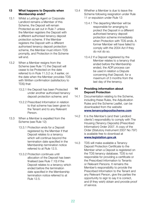#### <span id="page-21-0"></span>**13 What happens to Deposits when Membership ends?**

- 13.1 Whilst a Lettings Agent or Corporate Landlord remains a Member of this Scheme, the Deposit will remain Protected as set out in Rule 7 unless the Member registers the Deposit with a different authorised tenancy deposit protection scheme. If the Member registers the Deposit with a different authorised tenancy deposit protection scheme, the Member must inform TDS promptly, and Protection in the Scheme will end.
- 13.2 When a Member resigns from the Scheme (see Rule 11) the Deposit will cease to be Protected on the date referred to in Rule 11.3.2 or, if earlier, on the date when the Member provides TDS with Written confirmation (satisfactory to TDS) that:
	- 13.2.1 the Deposit has been Protected under another authorised tenancy deposit protection scheme; and
	- 13.2.2 Prescribed Information in relation to that scheme has been given to the Tenant and to any Relevant Person.
- 13.3 When a Member is expelled from the Scheme (see Rule 12):
	- 13.3.1 Protection ends for a Deposit registered by the Member if that Deposit relates to a tenancy which will continue beyond the termination date specified in the Membership termination notice referred to at Rule 12.5.
	- 13.3.2 Protection continues until allocation of the Deposit has been finalised (see Rule 7.10) if the Deposit relates to a tenancy which ended before the termination date specified in the Membership termination notice referred to at Rule 12.5.
- 13.4 Whether a Member is due to leave the Scheme following resignation under Rule 11 or expulsion under Rule 12:
	- 13.4.1 The departing Member will be responsible for arranging to protect the Deposit in a different authorised tenancy deposit protection scheme immediately when Protection with TDS ends. A former Member will have failed to comply with the 2004 Act if they do not do so.
	- 13.4.2 If a Deposit registered by the Member relates to a tenancy that ended before the Membership ended, the ADR process can be used in relation a Dispute concerning that Deposit, for a maximum of 3 months from the last day of the tenancy.

#### **14 Providing information about Deposit Protection**

- 14.1 Documentation relating to the Scheme, including these Rules, the Adjudication Rules and the Scheme Leaflet, can be downloaded from the website **[www.tenancydepositscheme.com](http://www.tenancydepositscheme.com)**
- 14.2 It is the Member's (and their Landlord clients') responsibility to comply with The Housing (Tenancy Deposits) (Prescribed Information) Order 2007. A copy of the Order (Statutory Instrument 2007 No 797) is available free to download at **[www.legislation.gov.uk](http://www.legislation.gov.uk)**
- 14.3 TDS will make available a Tenancy Deposit Protection Certificate to the Member when a Deposit is registered on the TDS tenancy database. TDS is not responsible for providing a certificate or the Prescribed Information to Tenants or Relevant Persons. It remains the Member's responsibility to provide the Prescribed Information to the Tenant and any Relevant Person, give the parties the opportunity to sign to say it is correct, and (if they wish) obtain and provide proof of service.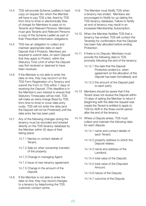- 14.4 TDS will provide Scheme Leaflets in hard copy on request (for which the Member will have to pay TDS a fee, fixed by TDS from time to time) or electronically (free of charge) for Members to pass on to Tenants and Relevant Persons. Members must give Tenants and Relevant Persons a copy of the Scheme Leaflet as part of their Prescribed Information obligations.
- 14.5 TDS has an obligation to collect and maintain appropriate data on each Deposit that it Protects. Members are required to submit data, on each Deposit that they apply to Protect, within the Statutory Time Limit of when the Deposit was first received or deemed to have been received.
- 14.6 If the Member is not able to enter the data on-line, they may record it on the TDS Form Registration of a Tenancy and submit the Form to TDS within 7 days of receiving the Deposit. (This deadline is in the Member's own interest to ensure that Statutory Timescales will be met). TDS will make an extra charge (fixed by TDS from time to time) to cover data entry costs. TDS will not enter the data (and the Deposit will not be Protected) until the data entry fee has been paid.
- 14.7 Any of the following changes during the tenancy must be recorded and entered directly on the TDS tenancy database by the Member within 30 days of their taking place:
	- 14.7.1 Names or contact details of Tenant;
	- 14.7.2 Sale (or other ownership transfer) of the property;
	- 14.7.3 Change in managing Agent;
	- 14.7.4 Issue of new tenancy agreement;
	- 14.7.5 Change in the amount of the Deposit.
- 14.8 If the Member is not able to enter the data on-line, they may record changes to a tenancy by telephoning the TDS customer contact centre.
- 14.9 The Member must Notify TDS when a tenancy has ended. Members are encouraged to Notify by up-dating the TDS tenancy database. Failure to Notify an end of tenancy may result in an increased Membership Subscription.
- 14.10 When the Member Notifies TDS that a tenancy has ended, TDS will contact the Tenant(s) for confirmation that the Deposit has been fully allocated before ending Protection.
- 14.11 If there is no Dispute, Members must provide the following data to TDS promptly following the end of the tenancy:
	- 14.12.1 the date that the Deposit Protection ended (i.e. when agreement on the allocation of the Deposit has been formalised); and
	- 14.12.2 the amount of the Deposit paid to each party.
- 14.13 Members should be aware that if the Tenant does not receive the Deposit within 10 days of asking the Member to return it (beginning with the date the request was made) the Tenant is entitled to apply to TDS for ADR in the three-month period after the end of the tenancy.
- 14.14 Where a Dispute arises, TDS must collect and maintain the following data for each dispute:
	- 14.14.1 name and contact details of each Tenant;
	- 14.14.2 property address to which the Deposit relates;
	- 14.14.3 name and address of the Landlord;
	- 14.14.4 total value of the Deposit;
	- 14.14.5 total value of the Disputed Amount;
	- 14.14.6 nature of the Dispute;
	- 14.14.7 outcome of the Dispute.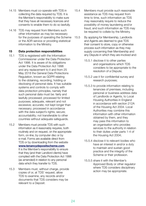- <span id="page-23-0"></span>14.15 Members must co-operate with TDS in collecting the data required by TDS. It is the Member's responsibility to make sure that they have all necessary licences and consents to enable them to do so lawfully.
- 14.16 TDS may request from Members such other information as may be necessary for the purposes of operating the Scheme or the ADR service or providing statistical information to the Ministry.

#### **15 Data protection responsibilities**

- 15.1 TDS is registered with the Information Commissioner under the Data Protection Act 1998. It is aware of its obligations under the Data Protection Act 1998 and any replacement to it and from 25 May 2018 the General Data Protections Regulation, known as GDPR relating to the obtaining, recording, holding or disclosing of personal data. It has suitable systems and controls to comply with data protection principles, namely that such personal data must be: fairly and lawfully processed; processed for limited purposes; adequate, relevant and not excessive; accurate; not kept longer than necessary; processed in accordance with the data subject's rights; secure; accountability; not transferable to other countries without adequate safeguards.
- 15.2 Members must provide TDS with such information as it reasonably requires, both routinely and on request, on the appropriate form, on-line, by computer disc or by e-mail. Forms are available direct from TDS or by downloading from the website **[www.tenancydepositscheme.com](http://www.tenancydepositscheme.com)**. It is the Member's responsibility to ensure that they (and their Landlord clients) have complied with the Data Protection Act 1998 (as amended) in relation to any personal data which they transfer to TDS.
- 15.3 Members must, without charge, provide copies of or, at TDS' request, allow TDS to examine, any records and/or documents that TDS considers may be relevant to a Deposit.
- 15.4 Members must provide such reasonable assistance as TDS may request from time to time, such information as TDS may reasonably require to reduce the possibility of money laundering and/or fraud, and such information as TDS may be required to collate by the Ministry.
- 15.5 By applying for Membership, Landlords and Agents are deemed to give TDS their consent to store, copy or otherwise process such information as they may supply concerning their Membership and any Dispute in which they are involved and:
	- 15.5.1 disclose it to other parties and organisations which TDS considers to be appropriate to the resolution of a Dispute;
	- 15.5.2 use it for confidential survey and research purposes;
	- 15.5.3 to provide information relating to tenancies of premises, including personal or business address data of Landlords or Agents, to Local Housing Authorities in England in accordance with section 212A of the Housing Act 2004. Local Authorities may combine this information with other information obtained by them, and they may pass this information to an organisation who provides services to the authority in relation to their duties under parts 1-4 of the Housing Act 2004;
	- 15.5.4 disclose it to relevant bodies who have an interest in and/or a duty to maintain and sustain good practice and the integrity of the Scheme or their profession.
	- 15.5.5 share it with the Member's Approved Body or other regulator where TDS considers disciplinary action may be appropriate.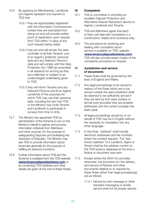- <span id="page-24-0"></span>15.6 By applying for Membership, Landlords and Agents represent and warrant to TDS that:
	- 15.6.1 they are appropriately registered with the Information Commissioner (unless they are exempted from doing so) and will provide written proof of registration upon request from TDS within 14 days of any such request being made;
	- 15.6.2 they are and will remain the data controller of all their Tenants' and (if an Agent) Landlords' personal data and any Relevant Person's data and will comply with the Data Protection Act 1998 (as amended) in all respects for as long as they are a Member or subject to an undischarged undertaking given to TDS;
	- 15.6.3 they will inform Tenants and any Relevant Persons and (if an Agent) Landlords of the purposes for which TDS may use their personal data, including the fact that TDS or the Ministry may invite Tenants and Landlords to participate in surveys from time to time.
- 15.7 The Ministry has appointed TDS as administrator of the Scheme to act on the Ministry's behalf to gather and process information obtained from Members and other sources, for the purpose of safeguarding Deposits and facilitating the resolution of Disputes. The Ministry may ask TDS to provide information about tenancies generally for the purpose of fulfilling its statutory functions.
- 15.8 Further information about TDS and the Scheme is available from the TDS website **[www.tenancydepositscheme.com](http://www.tenancydepositscheme.com)** or by contacting TDS (address and other details are given at the end of these Rules).

#### **16 Complaints**

- 16.1 TDS is committed to providing an excellent Deposit Protection and Alternative Dispute Resolution service to Agents, Landlords and Tenants.
- 16.2 TDS and Members agree that each of them will deal with complaints in a constructive, helpful and courteous way.
- 16.3 The procedure for receiving and dealing with complaints about service is available on TDS' website (**[www.tenancydepositscheme.com](http://www.tenancydepositscheme.com)**). TDS will also provide paper copies of the complaints procedure on request.

#### **17 Jurisdiction and service of documents**

- 17.1 These Rules shall be governed by the laws of England and Wales.
- 17.2 Any legal proceedings to be served in respect of the Rules which are to be served outside the said jurisdiction shall be deemed to be sufficiently served if they are sent by first-class surface or airmail post (provided they are properly addressed and the correct postage has been paid).
- 17.3 All legal proceedings served by or on behalf of TDS may be in English without the necessity for translation into any other language.
- 17.4 In this Rule, "address" shall include electronic addresses and fax numbers where the context requires. The "lastknown address" of a Landlord, Agent or Tenant shall be the address current on the TDS tenancy database at the time a Notice or document was sent.
- 17.5 Except where the 2004 Act provides otherwise, the provisions for the delivery and service of Notices and other documents relating to or required by these Rules (other than legal proceedings) are as follows:
	- 17.5.1 Service by text message or other standard messaging or similar service shall not be proper service.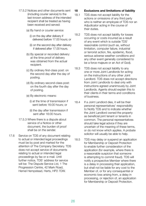- <span id="page-25-0"></span>17.5.2 Notices and other documents sent (including courier service) to the last-known address of the intended recipient shall be treated as having been received and served:
	- (a) By hand or courier service:
		- (i) on the day after delivery if delivered before 17.00 hours; or
		- (ii) on the second day after delivery if delivered after 17.00 hours.
	- (b) By special or recorded delivery: at the time proof of delivery was obtained from the actual recipient.
	- (c) By ordinary first-class post: on the second day after the day of posting.
	- (d) By ordinary second-class post: on the fourth day after the day of posting.
	- (e) By electronic means:
		- (i) at the time of transmission if sent before 16:00 hours; or
		- (ii) the day after transmission if sent after 16:00 hours.
- 17.5.3 Where there is a dispute about service of a Notice or other document, the burden of proof shall be on the sender.
- 17.6 Service on TDS of any document relating to actual or intended legal proceedings must be by post and marked for the attention of The Company Secretary. TDS does not accept service of documents relating to actual or intended legal proceedings by fax or e-mail. Until further notice, TDS' address for service will be: The Dispute Service Ltd, 1 The Progression Centre, 42 Mark Road, Hemel Hempstead, Herts, HP2 7DW.

#### **18 Exclusions and limitations of liability**

- 18.1 TDS does not accept liability for the actions or omissions of any third party who is neither an employee of TDS nor an Adjudicator acting in the course of their duties.
- 18.2 TDS does not accept liability for losses occurring or costs incurred as a result of any event which is outside TDS' reasonable control (such as, without limitation, computer failure, industrial or terrorist action, fire, epidemic, flood, serious adverse weather conditions and any other event generally considered to be a force majeure or an Act of God).
- 18.3 TDS does not accept liability to any one or more Joint Landlords for acting on the instructions of any other Joint Landlord. TDS does not accept directions from Joint Landlords to deal only with instructions agreed unanimously by Joint Landlords. Agents should explain this to their clients in their terms and conditions of business.
- 18.4 If a Joint Landlord dies, it will be their personal representatives' responsibility to Notify TDS and to indicate whether the Joint Landlord owned the property as beneficial joint tenant or tenants in common. The personal representatives should take legal advice if they are uncertain of the meaning of these terms, or do not know which applies. A probate solicitor will usually be able to help.
- 18.5 TDS may delay or suspend an application for Membership or Deposit Protection to enable further consideration of the application (for example, where there is a reasonable suspicion that someone is attempting to commit fraud). TDS will notify a prospective Member where there is a delay in processing their application, but shall not be liable for any cost to the Member of, or for any consequential or economic loss arising from, a delay in processing, or rejection of, an application for Membership or Deposit Protection.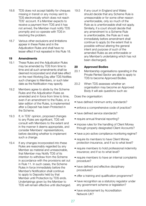- <span id="page-26-0"></span>18.6 TDS does not accept liability for cheques missing in transit or any money sent to TDS electronically which does not reach TDS' account. If a Member expects to receive a payment from TDS and it has not arrived, the Member must notify TDS promptly and co-operate with TDS in resolving the problem.
- 18.7 Various other exclusions and limitations appear in these Rules and in the Adjudication Rules and shall have no lesser effect if not repeated in this Rule 18.

#### **19 Amendments**

- 19.1 These Rules and the Adjudication Rules may be amended by TDS from time to time and all such amendments shall be deemed incorporated and shall take effect on the next Working Day after TDS Notifies such changes to Members, or such later date as the Notification may specify.
- 19.2 Members agree to abide by the Scheme Rules and the Adjudication Rules as amended and in force from time to time, even if an amendment to the Rules, or a later edition of the Rules, is implemented after a Deposit has been Protected in the Scheme.
- 19.3 If, in TDS' opinion, proposed changes to any Rules are significant, TDS will consult with Members to the extent and in the manner it deems appropriate, and consider Members' representations, before deciding whether to implement such a change.
- 19.4 If any changes incorporated into these Rules are reasonably regarded by any Member as material and unreasonable, that Member may Notify TDS of its intention to withdraw from the Scheme in accordance with the provisions set out in Rule 11. In such cases, the Scheme Rules in force immediately before the Member's Notification shall continue to apply to Deposits held by that Member until Protection by TDS ends. Undertakings given by the Member to TDS will remain effective until discharged.

19.5 If any court in England and Wales should decide that any Scheme Rule is unreasonable or for some other reason unenforceable, only so much of the Rule as is unenforceable shall not apply. Similarly, if a court should decide that any amendment to a Scheme Rule is unenforceable, the Rule as it was immediately before amendment shall continue to apply (to the extent that is possible without altering the general intent and purpose of such of the amended Rules as are enforceable or any Member's undertaking which has not been discharged).

#### **20 Approved Bodies**

- 20.1 Membership organisations operating in the Private Rented Sector are able to apply to TDS to become Approved Bodies.
- 20.2 When TDS assesses whether an organisation may become an Approved Body it will ask questions such as:

Does the organisation:

- have defined minimum entry standards?
- enforce a comprehensive code of practice?
- have defined service standards?
- require annual financial reporting?
- impose rules for the handling of Client Money through properly designated Client Accounts?
- have a pro-active compliance monitoring regime?
- require its members to have Client Money protection insurance, and if so to what level?
- require members to hold professional indemnity insurance; and if so to what level?
- require members to have an internal complaints procedure?
- have defined and effective disciplinary procedures?
- offer a training and qualification programme?
- have recognition as a statutory regulator under any government scheme or legislation?
- have endorsement by Accreditation Network UK?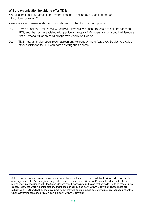#### **Will the organisation be able to offer TDS:**

- an unconditional guarantee in the event of financial default by any of its members? If so, to what extent?
- assistance with membership administration e.g. collection of subscriptions?
- 20.3 Some questions and criteria will carry a differential weighting to reflect their importance to TDS, and the risks associated with particular groups of Members and prospective Members. Not all criteria will apply to all prospective Approved Bodies.
- 20.4 TDS may, at its discretion, reach agreement with one or more Approved Bodies to provide other assistance to TDS with administering the Scheme.

Acts of Parliament and Statutory Instruments mentioned in these rules are available to view and download free of charge from http://www.legislation.gov.uk These documents are © Crown Copyright and should only be reproduced in accordance with the Open Government Licence referred to on that website. Parts of these Rules closely follow the wording of legislation, and these parts may also be © Crown Copyright. These Rules are published by TDS and not by the government, but they do contain public sector information licensed under the Open Government Licence v1.0, which is also © Crown Copyright.